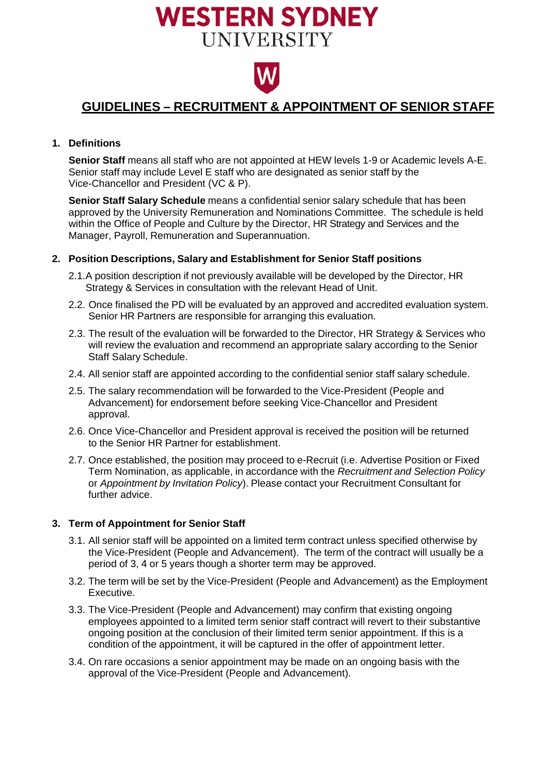# **WESTERN SYDNEY UNIVERSITY**



### **GUIDELINES – RECRUITMENT & APPOINTMENT OF SENIOR STAFF**

#### **1. Definitions**

**Senior Staff** means all staff who are not appointed at HEW levels 1-9 or Academic levels A-E. Senior staff may include Level E staff who are designated as senior staff by the Vice-Chancellor and President (VC & P).

**Senior Staff Salary Schedule** means a confidential senior salary schedule that has been approved by the University Remuneration and Nominations Committee. The schedule is held within the Office of People and Culture by the Director, HR Strategy and Services and the Manager, Payroll, Remuneration and Superannuation.

#### **2. Position Descriptions, Salary and Establishment for Senior Staff positions**

- 2.1.A position description if not previously available will be developed by the Director, HR Strategy & Services in consultation with the relevant Head of Unit.
- 2.2. Once finalised the PD will be evaluated by an approved and accredited evaluation system. Senior HR Partners are responsible for arranging this evaluation.
- 2.3. The result of the evaluation will be forwarded to the Director, HR Strategy & Services who will review the evaluation and recommend an appropriate salary according to the Senior Staff Salary Schedule.
- 2.4. All senior staff are appointed according to the confidential senior staff salary schedule.
- 2.5. The salary recommendation will be forwarded to the Vice-President (People and Advancement) for endorsement before seeking Vice-Chancellor and President approval.
- 2.6. Once Vice-Chancellor and President approval is received the position will be returned to the Senior HR Partner for establishment.
- 2.7. Once established, the position may proceed to e-Recruit (i.e. Advertise Position or Fixed Term Nomination, as applicable, in accordance with the *Recruitment and Selection Policy* or *Appointment by Invitation Policy*). Please contact your Recruitment Consultant for further advice.

#### **3. Term of Appointment for Senior Staff**

- 3.1. All senior staff will be appointed on a limited term contract unless specified otherwise by the Vice-President (People and Advancement). The term of the contract will usually be a period of 3, 4 or 5 years though a shorter term may be approved.
- 3.2. The term will be set by the Vice-President (People and Advancement) as the Employment Executive.
- 3.3. The Vice-President (People and Advancement) may confirm that existing ongoing employees appointed to a limited term senior staff contract will revert to their substantive ongoing position at the conclusion of their limited term senior appointment. If this is a condition of the appointment, it will be captured in the offer of appointment letter.
- 3.4. On rare occasions a senior appointment may be made on an ongoing basis with the approval of the Vice-President (People and Advancement).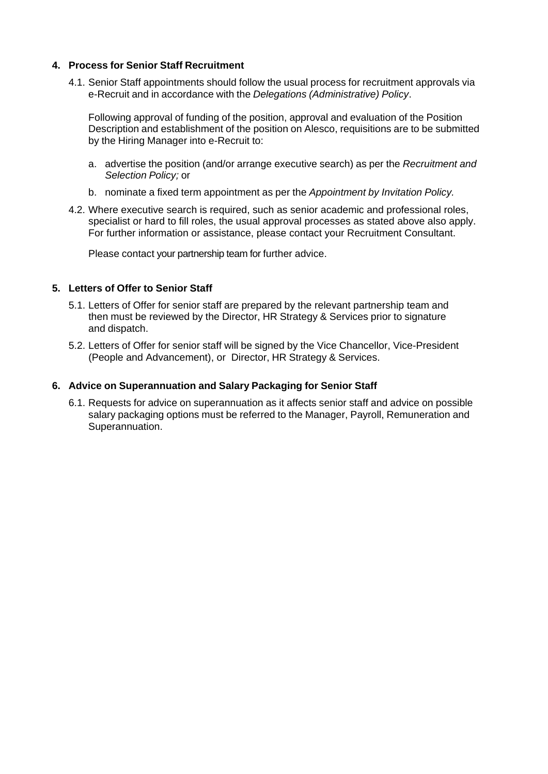#### **4. Process for Senior Staff Recruitment**

4.1. Senior Staff appointments should follow the usual process for recruitment approvals via e-Recruit and in accordance with the *Delegations (Administrative) Policy*.

Following approval of funding of the position, approval and evaluation of the Position Description and establishment of the position on Alesco, requisitions are to be submitted by the Hiring Manager into e-Recruit to:

- a. advertise the position (and/or arrange executive search) as per the *Recruitment and Selection Policy;* or
- b. nominate a fixed term appointment as per the *Appointment by Invitation Policy.*
- 4.2. Where executive search is required, such as senior academic and professional roles, specialist or hard to fill roles, the usual approval processes as stated above also apply. For further information or assistance, please contact your Recruitment Consultant.

Please contact your partnership team for further advice.

#### **5. Letters of Offer to Senior Staff**

- 5.1. Letters of Offer for senior staff are prepared by the relevant partnership team and then must be reviewed by the Director, HR Strategy & Services prior to signature and dispatch.
- 5.2. Letters of Offer for senior staff will be signed by the Vice Chancellor, Vice-President (People and Advancement), or Director, HR Strategy & Services.

#### **6. Advice on Superannuation and Salary Packaging for Senior Staff**

6.1. Requests for advice on superannuation as it affects senior staff and advice on possible salary packaging options must be referred to the Manager, Payroll, Remuneration and Superannuation.